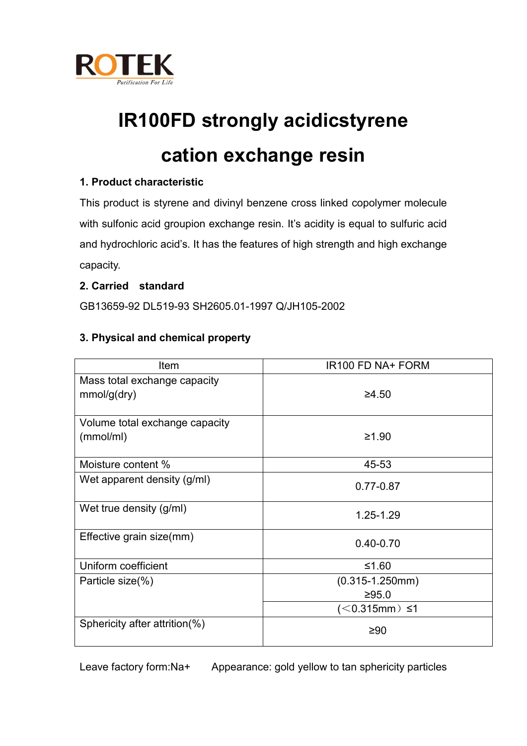

# **IR100FD strongly acidicstyrene**

# **cation exchange resin**

# **1. Product characteristic**

This product is styrene and divinyl benzene cross linked copolymer molecule with sulfonic acid groupion exchange resin. It's acidity is equal to sulfuric acid and hydrochloric acid's. It has the features of high strength and high exchange capacity.

## **2. Carried standard**

GB13659-92 DL519-93 SH2605.01-1997 Q/JH105-2002

## **3. Physical and chemical property**

| <b>Item</b>                    | IR100 FD NA+ FORM    |
|--------------------------------|----------------------|
| Mass total exchange capacity   |                      |
| mmol/g(dry)                    | ≥4.50                |
|                                |                      |
| Volume total exchange capacity |                      |
| (mmol/ml)                      | ≥1.90                |
|                                |                      |
| Moisture content %             | 45-53                |
| Wet apparent density (g/ml)    | $0.77 - 0.87$        |
| Wet true density (g/ml)        | 1.25-1.29            |
| Effective grain size(mm)       | $0.40 - 0.70$        |
| Uniform coefficient            | ≤1.60                |
| Particle size(%)               | $(0.315 - 1.250$ mm) |
|                                | ≥95.0                |
|                                | $(< 0.315$ mm) ≤1    |
| Sphericity after attrition(%)  | ≥90                  |

Leave factory form:Na+ Appearance: gold yellow to tan sphericity particles